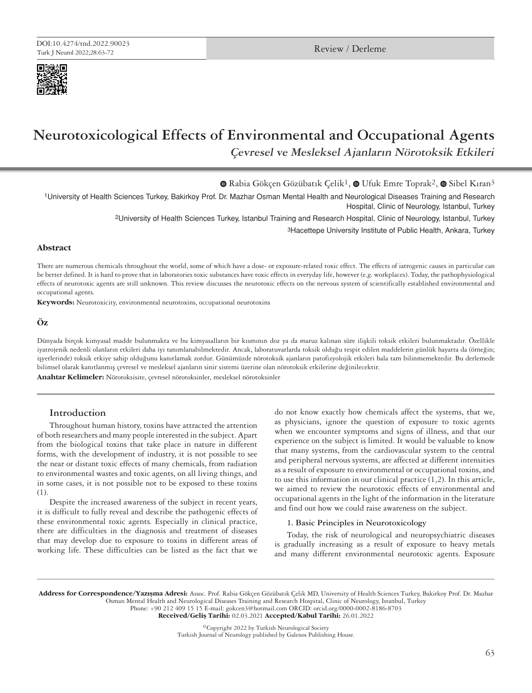

# **Neurotoxicological Effects of Environmental and Occupational Agents Çevresel ve Mesleksel Ajanların Nörotoksik Etkileri**

 $\bullet$ Rabia Gökçen Gözübatık Çelik<sup>1</sup>,  $\bullet$  Ufuk Emre Toprak<sup>2</sup>,  $\bullet$  Sibel Kıran<sup>3</sup>

1University of Health Sciences Turkey, Bakirkoy Prof. Dr. Mazhar Osman Mental Health and Neurological Diseases Training and Research Hospital, Clinic of Neurology, Istanbul, Turkey

2University of Health Sciences Turkey, Istanbul Training and Research Hospital, Clinic of Neurology, Istanbul, Turkey

3Hacettepe University Institute of Public Health, Ankara, Turkey

## **Abstract**

There are numerous chemicals throughout the world, some of which have a dose- or exposure-related toxic effect. The effects of iatrogenic causes in particular can be better defined. It is hard to prove that in laboratories toxic substances have toxic effects in everyday life, however (e.g. workplaces). Today, the pathophysiological effects of neurotoxic agents are still unknown. This review discusses the neurotoxic effects on the nervous system of scientifically established environmental and occupational agents.

**Keywords:** Neurotoxicity, environmental neurotoxins, occupational neurotoxins

## **Öz**

Dünyada birçok kimyasal madde bulunmakta ve bu kimyasalların bir kısmının doz ya da maruz kalınan süre ilişkili toksik etkileri bulunmaktadır. Özellikle iyatrojenik nedenli olanların etkileri daha iyi tanımlanabilmektedir. Ancak, laboratuvarlarda toksik olduğu tespit edilen maddelerin günlük hayatta da (örneğin; işyerlerinde) toksik etkiye sahip olduğunu kanıtlamak zordur. Günümüzde nörotoksik ajanların patofizyolojik etkileri hala tam bilinmemektedir. Bu derlemede bilimsel olarak kanıtlanmış çevresel ve mesleksel ajanların sinir sistemi üzerine olan nörotoksik etkilerine değinilecektir.

**Anahtar Kelimeler:** Nörotoksisite, çevresel nörotoksinler, mesleksel nörotoksinler

# **Introduction**

Throughout human history, toxins have attracted the attention of both researchers and many people interested in the subject. Apart from the biological toxins that take place in nature in different forms, with the development of industry, it is not possible to see the near or distant toxic effects of many chemicals, from radiation to environmental wastes and toxic agents, on all living things, and in some cases, it is not possible not to be exposed to these toxins (1).

Despite the increased awareness of the subject in recent years, it is difficult to fully reveal and describe the pathogenic effects of these environmental toxic agents. Especially in clinical practice, there are difficulties in the diagnosis and treatment of diseases that may develop due to exposure to toxins in different areas of working life. These difficulties can be listed as the fact that we

do not know exactly how chemicals affect the systems, that we, as physicians, ignore the question of exposure to toxic agents when we encounter symptoms and signs of illness, and that our experience on the subject is limited. It would be valuable to know that many systems, from the cardiovascular system to the central and peripheral nervous systems, are affected at different intensities as a result of exposure to environmental or occupational toxins, and to use this information in our clinical practice (1,2). In this article, we aimed to review the neurotoxic effects of environmental and occupational agents in the light of the information in the literature and find out how we could raise awareness on the subject.

#### **1. Basic Principles in Neurotoxicology**

Today, the risk of neurological and neuropsychiatric diseases is gradually increasing as a result of exposure to heavy metals and many different environmental neurotoxic agents. Exposure

Address for Correspondence/Yazışma Adresi: Assoc. Prof. Rabia Gökçen Gözübatık Çelik MD, University of Health Sciences Turkey, Bakirkoy Prof. Dr. Mazhar Osman Mental Health and Neurological Diseases Training and Research Hospital, Clinic of Neurology, Istanbul, Turkey Phone: +90 212 409 15 15 E-mail: gokcen3@hotmail.com ORCID: orcid.org/0000-0002-8186-8703

Received/Geliş Tarihi: 02.03.2021 Accepted/Kabul Tarihi: 26.01.2022

©Copyright 2022 by Turkish Neurological Society Turkish Journal of Neurology published by Galenos Publishing House.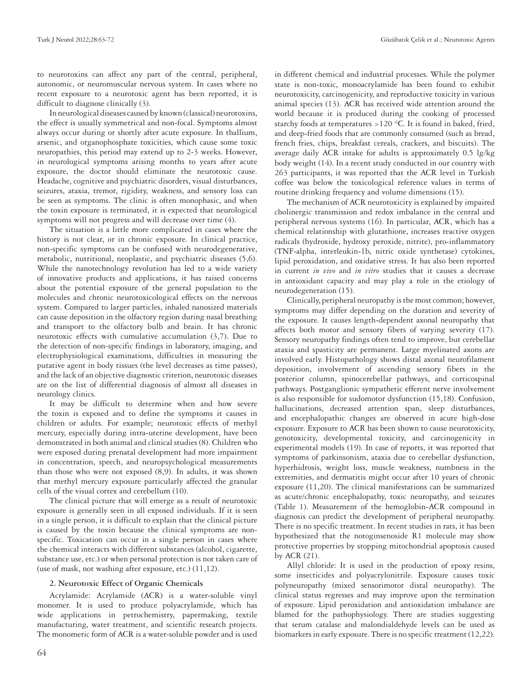to neurotoxins can affect any part of the central, peripheral, autonomic, or neuromuscular nervous system. In cases where no recent exposure to a neurotoxic agent has been reported, it is difficult to diagnose clinically (3).

In neurological diseases caused by known (classical) neurotoxins, the effect is usually symmetrical and non-focal. Symptoms almost always occur during or shortly after acute exposure. In thallium, arsenic, and organophosphate toxicities, which cause some toxic neuropathies, this period may extend up to 2-3 weeks. However, in neurological symptoms arising months to years after acute exposure, the doctor should eliminate the neurotoxic cause. Headache, cognitive and psychiatric disorders, visual disturbances, seizures, ataxia, tremor, rigidity, weakness, and sensory loss can be seen as symptoms. The clinic is often monophasic, and when the toxin exposure is terminated, it is expected that neurological symptoms will not progress and will decrease over time (4).

The situation is a little more complicated in cases where the history is not clear, or in chronic exposure. In clinical practice, non-specific symptoms can be confused with neurodegenerative, metabolic, nutritional, neoplastic, and psychiatric diseases (5,6). While the nanotechnology revolution has led to a wide variety of innovative products and applications, it has raised concerns about the potential exposure of the general population to the molecules and chronic neurotoxicological effects on the nervous system. Compared to larger particles, inhaled nanosized materials can cause deposition in the olfactory region during nasal breathing and transport to the olfactory bulb and brain. It has chronic neurotoxic effects with cumulative accumulation (3,7). Due to the detection of non-specific findings in laboratory, imaging, and electrophysiological examinations, difficulties in measuring the putative agent in body tissues (the level decreases as time passes), and the lack of an objective diagnostic criterion, neurotoxic diseases are on the list of differential diagnosis of almost all diseases in neurology clinics.

It may be difficult to determine when and how severe the toxin is exposed and to define the symptoms it causes in children or adults. For example; neurotoxic effects of methyl mercury, especially during intra-uterine development, have been demonstrated in both animal and clinical studies (8). Children who were exposed during prenatal development had more impairment in concentration, speech, and neuropsychological measurements than those who were not exposed (8,9). In adults, it was shown that methyl mercury exposure particularly affected the granular cells of the visual cortex and cerebellum (10).

The clinical picture that will emerge as a result of neurotoxic exposure is generally seen in all exposed individuals. If it is seen in a single person, it is difficult to explain that the clinical picture is caused by the toxin because the clinical symptoms are nonspecific. Toxication can occur in a single person in cases where the chemical interacts with different substances (alcohol, cigarette, substance use, etc.) or when personal protection is not taken care of (use of mask, not washing after exposure, etc.) (11,12).

### **2. Neurotoxic Effect of Organic Chemicals**

Acrylamide: Acrylamide (ACR) is a water-soluble vinyl monomer. It is used to produce polyacrylamide, which has wide applications in petrochemistry, papermaking, textile manufacturing, water treatment, and scientific research projects. The monomeric form of ACR is a water-soluble powder and is used

in different chemical and industrial processes. While the polymer state is non-toxic, monoacrylamide has been found to exhibit neurotoxicity, carcinogenicity, and reproductive toxicity in various animal species (13). ACR has received wide attention around the world because it is produced during the cooking of processed starchy foods at temperatures >120 °C. It is found in baked, fried, and deep-fried foods that are commonly consumed (such as bread, french fries, chips, breakfast cereals, crackers, and biscuits). The average daily ACR intake for adults is approximately 0.5 lg/kg body weight (14). In a recent study conducted in our country with 263 participants, it was reported that the ACR level in Turkish coffee was below the toxicological reference values in terms of routine drinking frequency and volume dimensions (15).

The mechanism of ACR neurotoxicity is explained by impaired cholinergic transmission and redox imbalance in the central and peripheral nervous systems (16). In particular, ACR, which has a chemical relationship with glutathione, increases reactive oxygen radicals (hydroxide, hydroxy peroxide, nitrite), pro-inflammatory (TNF-alpha, interleukin-1b, nitric oxide synthetase) cytokines, lipid peroxidation, and oxidative stress. It has also been reported in current *in vivo* and *in vitro* studies that it causes a decrease in antioxidant capacity and may play a role in the etiology of neurodegeneration (15).

Clinically, peripheral neuropathy is the most common; however, symptoms may differ depending on the duration and severity of the exposure. It causes length-dependent axonal neuropathy that affects both motor and sensory fibers of varying severity (17). Sensory neuropathy findings often tend to improve, but cerebellar ataxia and spasticity are permanent. Large myelinated axons are involved early. Histopathology shows distal axonal neurofilament deposition, involvement of ascending sensory fibers in the posterior column, spinocerebellar pathways, and corticospinal pathways. Postganglionic sympathetic efferent nerve involvement is also responsible for sudomotor dysfunction (15,18). Confusion, hallucinations, decreased attention span, sleep disturbances, and encephalopathic changes are observed in acute high-dose exposure. Exposure to ACR has been shown to cause neurotoxicity, genotoxicity, developmental toxicity, and carcinogenicity in experimental models (19). In case of reports, it was reported that symptoms of parkinsonism, ataxia due to cerebellar dysfunction, hyperhidrosis, weight loss, muscle weakness, numbness in the extremities, and dermatitis might occur after 10 years of chronic exposure (11,20). The clinical manifestations can be summarized as acute/chronic encephalopathy, toxic neuropathy, and seizures (Table 1). Measurement of the hemoglobin-ACR compound in diagnosis can predict the development of peripheral neuropathy. There is no specific treatment. In recent studies in rats, it has been hypothesized that the notoginsenoside R1 molecule may show protective properties by stopping mitochondrial apoptosis caused by ACR (21).

Allyl chloride: It is used in the production of epoxy resins, some insecticides and polyacrylonitrile. Exposure causes toxic polyneuropathy (mixed sensorimotor distal neuropathy). The clinical status regresses and may improve upon the termination of exposure. Lipid peroxidation and antioxidation imbalance are blamed for the pathophysiology. There are studies suggesting that serum catalase and malondialdehyde levels can be used as biomarkers in early exposure. There is no specific treatment (12,22).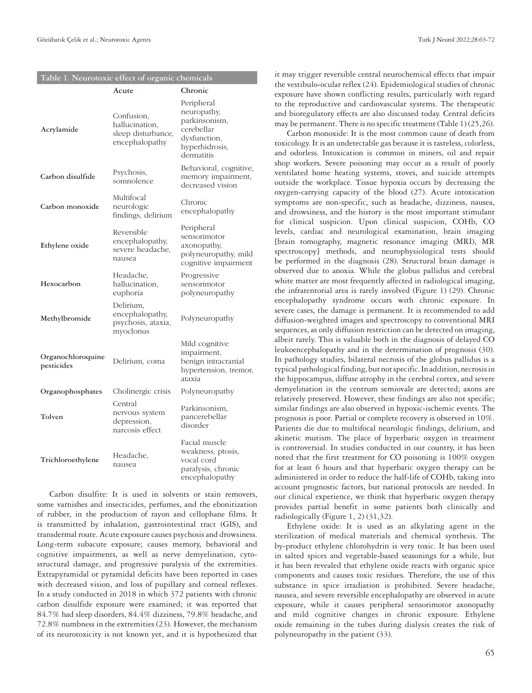|  |  | Table 1. Neurotoxic effect of organic chemicals |  |  |  |  |
|--|--|-------------------------------------------------|--|--|--|--|
|--|--|-------------------------------------------------|--|--|--|--|

|                                 | Acute                                                                | Chronic                                                                                                  |
|---------------------------------|----------------------------------------------------------------------|----------------------------------------------------------------------------------------------------------|
| Acrylamide                      | Confusion,<br>hallucination,<br>sleep disturbance,<br>encephalopathy | Peripheral<br>neuropathy,<br>parkinsonism,<br>cerebellar<br>dysfunction,<br>hyperhidrosis,<br>dermatitis |
| Carbon disulfide                | Psychosis,<br>somnolence                                             | Behavioral, cognitive,<br>memory impairment,<br>decreased vision                                         |
| Carbon monoxide                 | Multifocal<br>neurologic<br>findings, delirium                       | Chronic<br>encephalopathy                                                                                |
| Ethylene oxide                  | Reversible<br>encephalopathy,<br>severe headache,<br>nausea          | Peripheral<br>sensorimotor<br>axonopathy,<br>polyneuropathy, mild<br>cognitive impairment                |
| Hexocarbon                      | Headache,<br>hallucination,<br>euphoria                              | Progressive<br>sensorimotor<br>polyneuropathy                                                            |
| Methylbromide                   | Delirium,<br>encephalopathy,<br>psychosis, ataxia,<br>myoclonus      | Polyneuropathy                                                                                           |
| Organochloroquine<br>pesticides | Delirium, coma                                                       | Mild cognitive<br>impairment,<br>benign intracranial<br>hypertension, tremor,<br>ataxia                  |
| Organophosphates                | Cholinergic crisis                                                   | Polyneuropathy                                                                                           |
| Tolven                          | Central<br>nervous system<br>depression,<br>narcosis effect          | Parkinsonism,<br>pancerebellar<br>disorder                                                               |
| Trichloroethylene               | Headache,<br>nausea                                                  | Facial muscle<br>weakness, ptosis,<br>vocal cord<br>paralysis, chronic<br>encephalopathy                 |

Carbon disulfite: It is used in solvents or stain removers, some varnishes and insecticides, perfumes, and the ebonitization of rubber, in the production of rayon and cellophane films. It is transmitted by inhalation, gastrointestinal tract (GIS), and transdermal route. Acute exposure causes psychosis and drowsiness. Long-term subacute exposure; causes memory, behavioral and cognitive impairments, as well as nerve demyelination, cytostructural damage, and progressive paralysis of the extremities. Extrapyramidal or pyramidal deficits have been reported in cases with decreased vision, and loss of pupillary and corneal reflexes. In a study conducted in 2018 in which 372 patients with chronic carbon disulfide exposure were examined; it was reported that 84.7% had sleep disorders, 84.4% dizziness, 79.8% headache, and 72.8% numbness in the extremities (23). However, the mechanism of its neurotoxicity is not known yet, and it is hypothesized that

it may trigger reversible central neurochemical effects that impair the vestibulo-ocular reflex (24). Epidemiological studies of chronic exposure have shown conflicting results, particularly with regard to the reproductive and cardiovascular systems. The therapeutic and bioregulatory effects are also discussed today. Central deficits may be permanent. There is no specific treatment (Table 1) (25,26).

Carbon monoxide: It is the most common cause of death from toxicology. It is an undetectable gas because it is tasteless, colorless, and odorless. Intoxication is common in miners, oil and repair shop workers. Severe poisoning may occur as a result of poorly ventilated home heating systems, stoves, and suicide attempts outside the workplace. Tissue hypoxia occurs by decreasing the oxygen-carrying capacity of the blood (27). Acute intoxication symptoms are non-specific, such as headache, dizziness, nausea, and drowsiness, and the history is the most important stimulant for clinical suspicion. Upon clinical suspicion, COHb, CO levels, cardiac and neurological examination, brain imaging [brain tomography, magnetic resonance imaging (MRI), MR spectroscopy] methods, and neurophysiological tests should be performed in the diagnosis (28). Structural brain damage is observed due to anoxia. While the globus pallidus and cerebral white matter are most frequently affected in radiological imaging, the infratentorial area is rarely involved (Figure 1) (29). Chronic encephalopathy syndrome occurs with chronic exposure. In severe cases, the damage is permanent. It is recommended to add diffusion-weighted images and spectroscopy to conventional MRI sequences, as only diffusion restriction can be detected on imaging, albeit rarely. This is valuable both in the diagnosis of delayed CO leukoencephalopathy and in the determination of prognosis (30). In pathology studies, bilateral necrosis of the globus pallidus is a typical pathological finding, but not specific. In addition, necrosis in the hippocampus, diffuse atrophy in the cerebral cortex, and severe demyelination in the centrum semiovale are detected; axons are relatively preserved. However, these findings are also not specific; similar findings are also observed in hypoxic-ischemic events. The prognosis is poor. Partial or complete recovery is observed in 10%. Patients die due to multifocal neurologic findings, delirium, and akinetic mutism. The place of hyperbaric oxygen in treatment is controversial. In studies conducted in our country, it has been noted that the first treatment for CO poisoning is 100% oxygen for at least 6 hours and that hyperbaric oxygen therapy can be administered in order to reduce the half-life of COHb, taking into account prognostic factors, but national protocols are needed. In our clinical experience, we think that hyperbaric oxygen therapy provides partial benefit in some patients both clinically and radiologically (Figure 1, 2) (31,32).

Ethylene oxide: It is used as an alkylating agent in the sterilization of medical materials and chemical synthesis. The by-product ethylene chlorohydrin is very toxic. It has been used in salted spices and vegetable-based seasonings for a while, but it has been revealed that ethylene oxide reacts with organic spice components and causes toxic residues. Therefore, the use of this substance in spice irradiation is prohibited. Severe headache, nausea, and severe reversible encephalopathy are observed in acute exposure, while it causes peripheral sensorimotor axonopathy and mild cognitive changes in chronic exposure. Ethylene oxide remaining in the tubes during dialysis creates the risk of polyneuropathy in the patient (33).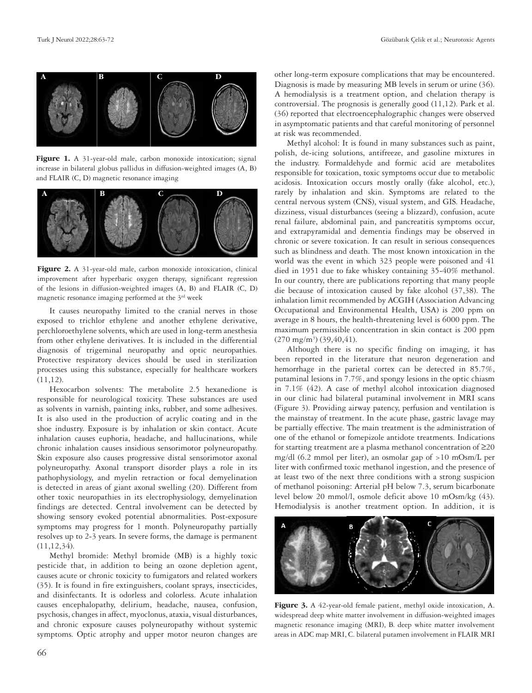

Figure 1. A 31-year-old male, carbon monoxide intoxication; signal increase in bilateral globus pallidus in diffusion-weighted images (A, B) and FLAIR (C, D) magnetic resonance imaging



Figure 2. A 31-year-old male, carbon monoxide intoxication, clinical improvement after hyperbaric oxygen therapy, significant regression of the lesions in diffusion-weighted images (A, B) and FLAIR (C, D) magnetic resonance imaging performed at the  $3<sup>rd</sup>$  week

It causes neuropathy limited to the cranial nerves in those exposed to trichlor ethylene and another ethylene derivative, perchloroethylene solvents, which are used in long-term anesthesia from other ethylene derivatives. It is included in the differential diagnosis of trigeminal neuropathy and optic neuropathies. Protective respiratory devices should be used in sterilization processes using this substance, especially for healthcare workers (11,12).

Hexocarbon solvents: The metabolite 2.5 hexanedione is responsible for neurological toxicity. These substances are used as solvents in varnish, painting inks, rubber, and some adhesives. It is also used in the production of acrylic coating and in the shoe industry. Exposure is by inhalation or skin contact. Acute inhalation causes euphoria, headache, and hallucinations, while chronic inhalation causes insidious sensorimotor polyneuropathy. Skin exposure also causes progressive distal sensorimotor axonal polyneuropathy. Axonal transport disorder plays a role in its pathophysiology, and myelin retraction or focal demyelination is detected in areas of giant axonal swelling (20). Different from other toxic neuropathies in its electrophysiology, demyelination findings are detected. Central involvement can be detected by showing sensory evoked potential abnormalities. Post-exposure symptoms may progress for 1 month. Polyneuropathy partially resolves up to 2-3 years. In severe forms, the damage is permanent (11,12,34).

Methyl bromide: Methyl bromide (MB) is a highly toxic pesticide that, in addition to being an ozone depletion agent, causes acute or chronic toxicity to fumigators and related workers (35). It is found in fire extinguishers, coolant sprays, insecticides, and disinfectants. It is odorless and colorless. Acute inhalation causes encephalopathy, delirium, headache, nausea, confusion, psychosis, changes in affect, myoclonus, ataxia, visual disturbances, and chronic exposure causes polyneuropathy without systemic symptoms. Optic atrophy and upper motor neuron changes are

other long-term exposure complications that may be encountered. Diagnosis is made by measuring MB levels in serum or urine (36). A hemodialysis is a treatment option, and chelation therapy is controversial. The prognosis is generally good (11,12). Park et al. (36) reported that electroencephalographic changes were observed in asymptomatic patients and that careful monitoring of personnel at risk was recommended.

Methyl alcohol: It is found in many substances such as paint, polish, de-icing solutions, antifreeze, and gasoline mixtures in the industry. Formaldehyde and formic acid are metabolites responsible for toxication, toxic symptoms occur due to metabolic acidosis. Intoxication occurs mostly orally (fake alcohol, etc.), rarely by inhalation and skin. Symptoms are related to the central nervous system (CNS), visual system, and GIS. Headache, dizziness, visual disturbances (seeing a blizzard), confusion, acute renal failure, abdominal pain, and pancreatitis symptoms occur, and extrapyramidal and dementia findings may be observed in chronic or severe toxication. It can result in serious consequences such as blindness and death. The most known intoxication in the world was the event in which 323 people were poisoned and 41 died in 1951 due to fake whiskey containing 35-40% methanol. In our country, there are publications reporting that many people die because of intoxication caused by fake alcohol (37,38). The inhalation limit recommended by ACGIH (Association Advancing Occupational and Environmental Health, USA) is 200 ppm on average in 8 hours, the health-threatening level is 6000 ppm. The maximum permissible concentration in skin contact is 200 ppm  $(270 \text{ mg/m}^3)$   $(39,40,41)$ .

Although there is no specific finding on imaging, it has been reported in the literature that neuron degeneration and hemorrhage in the parietal cortex can be detected in 85.7%, putaminal lesions in 7.7%, and spongy lesions in the optic chiasm in 7.1% (42). A case of methyl alcohol intoxication diagnosed in our clinic had bilateral putaminal involvement in MRI scans (Figure 3). Providing airway patency, perfusion and ventilation is the mainstay of treatment. In the acute phase, gastric lavage may be partially effective. The main treatment is the administration of one of the ethanol or fomepizole antidote treatments. Indications for starting treatment are a plasma methanol concentration of ≥20 mg/dl (6.2 mmol per liter), an osmolar gap of >10 mOsm/L per liter with confirmed toxic methanol ingestion, and the presence of at least two of the next three conditions with a strong suspicion of methanol poisoning: Arterial pH below 7.3, serum bicarbonate level below 20 mmol/l, osmole deficit above 10 mOsm/kg (43). Hemodialysis is another treatment option. In addition, it is



Figure 3. A 42-year-old female patient, methyl oxide intoxication, A. widespread deep white matter involvement in diffusion-weighted images magnetic resonance imaging (MRI), B. deep white matter involvement areas in ADC map MRI, C. bilateral putamen involvement in FLAIR MRI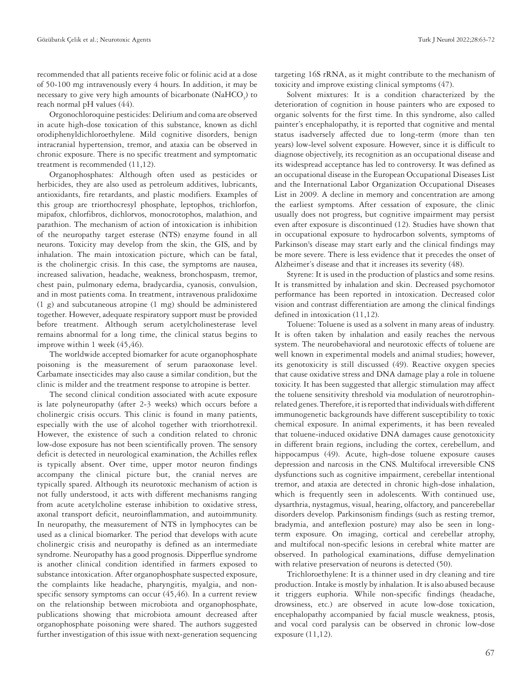recommended that all patients receive folic or folinic acid at a dose of 50-100 mg intravenously every 4 hours. In addition, it may be necessary to give very high amounts of bicarbonate  $\rm (NaHCO_{_3})$  to reach normal pH values (44).

Orgonochloroquine pesticides: Delirium and coma are observed in acute high-dose toxication of this substance, known as dichl orodiphenyldichloroethylene. Mild cognitive disorders, benign intracranial hypertension, tremor, and ataxia can be observed in chronic exposure. There is no specific treatment and symptomatic treatment is recommended (11,12).

Organophosphates: Although often used as pesticides or herbicides, they are also used as petroleum additives, lubricants, antioxidants, fire retardants, and plastic modifiers. Examples of this group are triorthocresyl phosphate, leptophos, trichlorfon, mipafox, chlorfibros, dichlorvos, monocrotophos, malathion, and parathion. The mechanism of action of intoxication is inhibition of the neuropathy target esterase (NTS) enzyme found in all neurons. Toxicity may develop from the skin, the GIS, and by inhalation. The main intoxication picture, which can be fatal, is the cholinergic crisis. In this case, the symptoms are nausea, increased salivation, headache, weakness, bronchospasm, tremor, chest pain, pulmonary edema, bradycardia, cyanosis, convulsion, and in most patients coma. In treatment, intravenous pralidoxime (1 g) and subcutaneous atropine (1 mg) should be administered together. However, adequate respiratory support must be provided before treatment. Although serum acetylcholinesterase level remains abnormal for a long time, the clinical status begins to improve within 1 week (45,46).

The worldwide accepted biomarker for acute organophosphate poisoning is the measurement of serum paraoxonase level. Carbamate insecticides may also cause a similar condition, but the clinic is milder and the treatment response to atropine is better.

The second clinical condition associated with acute exposure is late polyneuropathy (after 2-3 weeks) which occurs before a cholinergic crisis occurs. This clinic is found in many patients, especially with the use of alcohol together with triorthotrexil. However, the existence of such a condition related to chronic low-dose exposure has not been scientifically proven. The sensory deficit is detected in neurological examination, the Achilles reflex is typically absent. Over time, upper motor neuron findings accompany the clinical picture but, the cranial nerves are typically spared. Although its neurotoxic mechanism of action is not fully understood, it acts with different mechanisms ranging from acute acetylcholine esterase inhibition to oxidative stress, axonal transport deficit, neuroinflammation, and autoimmunity. In neuropathy, the measurement of NTS in lymphocytes can be used as a clinical biomarker. The period that develops with acute cholinergic crisis and neuropathy is defined as an intermediate syndrome. Neuropathy has a good prognosis. Dipperflue syndrome is another clinical condition identified in farmers exposed to substance intoxication. After organophosphate suspected exposure, the complaints like headache, pharyngitis, myalgia, and nonspecific sensory symptoms can occur (45,46). In a current review on the relationship between microbiota and organophosphate, publications showing that microbiota amount decreased after organophosphate poisoning were shared. The authors suggested further investigation of this issue with next-generation sequencing

targeting 16S rRNA, as it might contribute to the mechanism of toxicity and improve existing clinical symptoms (47).

Solvent mixtures: It is a condition characterized by the deterioration of cognition in house painters who are exposed to organic solvents for the first time. In this syndrome, also called painter's encephalopathy, it is reported that cognitive and mental status isadversely affected due to long-term (more than ten years) low-level solvent exposure. However, since it is difficult to diagnose objectively, its recognition as an occupational disease and its widespread acceptance has led to controversy. It was defined as an occupational disease in the European Occupational Diseases List and the International Labor Organization Occupational Diseases List in 2009. A decline in memory and concentration are among the earliest symptoms. After cessation of exposure, the clinic usually does not progress, but cognitive impairment may persist even after exposure is discontinued (12). Studies have shown that in occupational exposure to hydrocarbon solvents, symptoms of Parkinson's disease may start early and the clinical findings may be more severe. There is less evidence that it precedes the onset of Alzheimer's disease and that it increases its severity (48).

Styrene: It is used in the production of plastics and some resins. It is transmitted by inhalation and skin. Decreased psychomotor performance has been reported in intoxication. Decreased color vision and contrast differentiation are among the clinical findings defined in intoxication (11,12).

Toluene: Toluene is used as a solvent in many areas of industry. It is often taken by inhalation and easily reaches the nervous system. The neurobehavioral and neurotoxic effects of toluene are well known in experimental models and animal studies; however, its genotoxicity is still discussed (49). Reactive oxygen species that cause oxidative stress and DNA damage play a role in toluene toxicity. It has been suggested that allergic stimulation may affect the toluene sensitivity threshold via modulation of neurotrophinrelated genes. Therefore, it is reported that individuals with different immunogenetic backgrounds have different susceptibility to toxic chemical exposure. In animal experiments, it has been revealed that toluene-induced oxidative DNA damages cause genotoxicity in different brain regions, including the cortex, cerebellum, and hippocampus (49). Acute, high-dose toluene exposure causes depression and narcosis in the CNS. Multifocal irreversible CNS dysfunctions such as cognitive impairment, cerebellar intentional tremor, and ataxia are detected in chronic high-dose inhalation, which is frequently seen in adolescents. With continued use, dysarthria, nystagmus, visual, hearing, olfactory, and pancerebellar disorders develop. Parkinsonism findings (such as resting tremor, bradymia, and anteflexion posture) may also be seen in longterm exposure. On imaging, cortical and cerebellar atrophy, and multifocal non-specific lesions in cerebral white matter are observed. In pathological examinations, diffuse demyelination with relative preservation of neurons is detected (50).

Trichloroethylene: It is a thinner used in dry cleaning and tire production. Intake is mostly by inhalation. It is also abused because it triggers euphoria. While non-specific findings (headache, drowsiness, etc.) are observed in acute low-dose toxication, encephalopathy accompanied by facial muscle weakness, ptosis, and vocal cord paralysis can be observed in chronic low-dose exposure (11,12).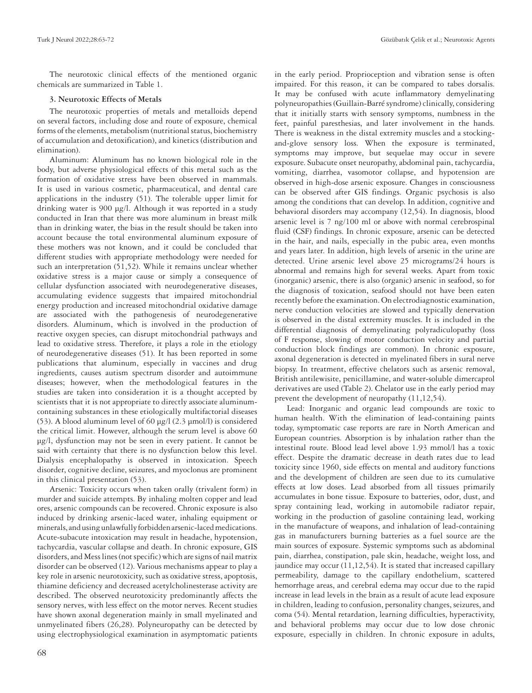The neurotoxic clinical effects of the mentioned organic chemicals are summarized in Table 1.

## **3. Neurotoxic Effects of Metals**

The neurotoxic properties of metals and metalloids depend on several factors, including dose and route of exposure, chemical forms of the elements, metabolism (nutritional status, biochemistry of accumulation and detoxification), and kinetics (distribution and elimination).

Aluminum: Aluminum has no known biological role in the body, but adverse physiological effects of this metal such as the formation of oxidative stress have been observed in mammals. It is used in various cosmetic, pharmaceutical, and dental care applications in the industry (51). The tolerable upper limit for drinking water is 900 μg/l. Although it was reported in a study conducted in Iran that there was more aluminum in breast milk than in drinking water, the bias in the result should be taken into account because the total environmental aluminum exposure of these mothers was not known, and it could be concluded that different studies with appropriate methodology were needed for such an interpretation (51,52). While it remains unclear whether oxidative stress is a major cause or simply a consequence of cellular dysfunction associated with neurodegenerative diseases, accumulating evidence suggests that impaired mitochondrial energy production and increased mitochondrial oxidative damage are associated with the pathogenesis of neurodegenerative disorders. Aluminum, which is involved in the production of reactive oxygen species, can disrupt mitochondrial pathways and lead to oxidative stress. Therefore, it plays a role in the etiology of neurodegenerative diseases (51). It has been reported in some publications that aluminum, especially in vaccines and drug ingredients, causes autism spectrum disorder and autoimmune diseases; however, when the methodological features in the studies are taken into consideration it is a thought accepted by scientists that it is not appropriate to directly associate aluminumcontaining substances in these etiologically multifactorial diseases (53). A blood aluminum level of 60 μg/l (2.3 µmol/l) is considered the critical limit. However, although the serum level is above 60 μg/l, dysfunction may not be seen in every patient. It cannot be said with certainty that there is no dysfunction below this level. Dialysis encephalopathy is observed in intoxication. Speech disorder, cognitive decline, seizures, and myoclonus are prominent in this clinical presentation (53).

Arsenic: Toxicity occurs when taken orally (trivalent form) in murder and suicide attempts. By inhaling molten copper and lead ores, arsenic compounds can be recovered. Chronic exposure is also induced by drinking arsenic-laced water, inhaling equipment or minerals, and using unlawfully forbidden arsenic-laced medications. Acute-subacute intoxication may result in headache, hypotension, tachycardia, vascular collapse and death. In chronic exposure, GIS disorders, and Mess lines (not specific) which are signs of nail matrix disorder can be observed (12). Various mechanisms appear to play a key role in arsenic neurotoxicity, such as oxidative stress, apoptosis, thiamine deficiency and decreased acetylcholinesterase activity are described. The observed neurotoxicity predominantly affects the sensory nerves, with less effect on the motor nerves. Recent studies have shown axonal degeneration mainly in small myelinated and unmyelinated fibers (26,28). Polyneuropathy can be detected by using electrophysiological examination in asymptomatic patients

in the early period. Proprioception and vibration sense is often impaired. For this reason, it can be compared to tabes dorsalis. It may be confused with acute inflammatory demyelinating polyneuropathies (Guillain-Barré syndrome) clinically, considering that it initially starts with sensory symptoms, numbness in the feet, painful paresthesias, and later involvement in the hands. There is weakness in the distal extremity muscles and a stockingand-glove sensory loss. When the exposure is terminated, symptoms may improve, but sequelae may occur in severe exposure. Subacute onset neuropathy, abdominal pain, tachycardia, vomiting, diarrhea, vasomotor collapse, and hypotension are observed in high-dose arsenic exposure. Changes in consciousness can be observed after GIS findings. Organic psychosis is also among the conditions that can develop. In addition, cognitive and behavioral disorders may accompany (12,54). In diagnosis, blood arsenic level is 7 ng/100 ml or above with normal cerebrospinal fluid (CSF) findings. In chronic exposure, arsenic can be detected in the hair, and nails, especially in the pubic area, even months and years later. In addition, high levels of arsenic in the urine are detected. Urine arsenic level above 25 micrograms/24 hours is abnormal and remains high for several weeks. Apart from toxic (inorganic) arsenic, there is also (organic) arsenic in seafood, so for the diagnosis of toxication, seafood should not have been eaten recently before the examination. On electrodiagnostic examination, nerve conduction velocities are slowed and typically denervation is observed in the distal extremity muscles. It is included in the differential diagnosis of demyelinating polyradiculopathy (loss of F response, slowing of motor conduction velocity and partial conduction block findings are common). In chronic exposure, axonal degeneration is detected in myelinated fibers in sural nerve biopsy. In treatment, effective chelators such as arsenic removal, British antilewisite, penicillamine, and water-soluble dimercaprol derivatives are used (Table 2). Chelator use in the early period may prevent the development of neuropathy (11,12,54).

Lead: Inorganic and organic lead compounds are toxic to human health. With the elimination of lead-containing paints today, symptomatic case reports are rare in North American and European countries. Absorption is by inhalation rather than the intestinal route. Blood lead level above 1.93 mmol/l has a toxic effect. Despite the dramatic decrease in death rates due to lead toxicity since 1960, side effects on mental and auditory functions and the development of children are seen due to its cumulative effects at low doses. Lead absorbed from all tissues primarily accumulates in bone tissue. Exposure to batteries, odor, dust, and spray containing lead, working in automobile radiator repair, working in the production of gasoline containing lead, working in the manufacture of weapons, and inhalation of lead-containing gas in manufacturers burning batteries as a fuel source are the main sources of exposure. Systemic symptoms such as abdominal pain, diarrhea, constipation, pale skin, headache, weight loss, and jaundice may occur (11,12,54). It is stated that increased capillary permeability, damage to the capillary endothelium, scattered hemorrhage areas, and cerebral edema may occur due to the rapid increase in lead levels in the brain as a result of acute lead exposure in children, leading to confusion, personality changes, seizures, and coma (54). Mental retardation, learning difficulties, hyperactivity, and behavioral problems may occur due to low dose chronic exposure, especially in children. In chronic exposure in adults,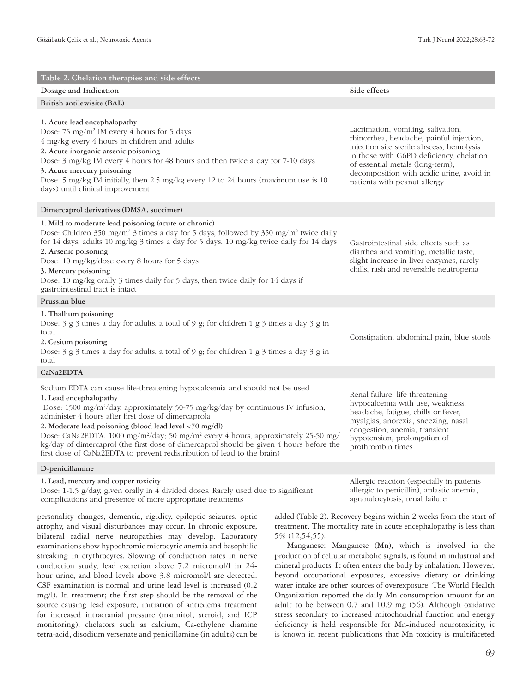| Table 2. Chelation therapies and side effects                                                                                                                                                                                                                                                                                                                                                                                                                                                                                                                                                            |                                                                                                                                                                                                                                                                                          |
|----------------------------------------------------------------------------------------------------------------------------------------------------------------------------------------------------------------------------------------------------------------------------------------------------------------------------------------------------------------------------------------------------------------------------------------------------------------------------------------------------------------------------------------------------------------------------------------------------------|------------------------------------------------------------------------------------------------------------------------------------------------------------------------------------------------------------------------------------------------------------------------------------------|
| Dosage and Indication                                                                                                                                                                                                                                                                                                                                                                                                                                                                                                                                                                                    | Side effects                                                                                                                                                                                                                                                                             |
| British antilewisite (BAL)                                                                                                                                                                                                                                                                                                                                                                                                                                                                                                                                                                               |                                                                                                                                                                                                                                                                                          |
| 1. Acute lead encephalopathy<br>Dose: 75 mg/m <sup>2</sup> IM every 4 hours for 5 days<br>4 mg/kg every 4 hours in children and adults<br>2. Acute inorganic arsenic poisoning<br>Dose: 3 mg/kg IM every 4 hours for 48 hours and then twice a day for 7-10 days<br>3. Acute mercury poisoning<br>Dose: 5 mg/kg IM initially, then 2.5 mg/kg every 12 to 24 hours (maximum use is 10<br>days) until clinical improvement                                                                                                                                                                                 | Lacrimation, vomiting, salivation,<br>rhinorrhea, headache, painful injection,<br>injection site sterile abscess, hemolysis<br>in those with G6PD deficiency, chelation<br>of essential metals (long-term),<br>decomposition with acidic urine, avoid in<br>patients with peanut allergy |
| Dimercaprol derivatives (DMSA, succimer)                                                                                                                                                                                                                                                                                                                                                                                                                                                                                                                                                                 |                                                                                                                                                                                                                                                                                          |
| 1. Mild to moderate lead poisoning (acute or chronic)<br>Dose: Children 350 mg/m <sup>2</sup> 3 times a day for 5 days, followed by 350 mg/m <sup>2</sup> twice daily<br>for 14 days, adults 10 mg/kg 3 times a day for 5 days, 10 mg/kg twice daily for 14 days<br>2. Arsenic poisoning<br>Dose: 10 mg/kg/dose every 8 hours for 5 days<br>3. Mercury poisoning<br>Dose: 10 mg/kg orally 3 times daily for 5 days, then twice daily for 14 days if<br>gastrointestinal tract is intact                                                                                                                  | Gastrointestinal side effects such as<br>diarrhea and vomiting, metallic taste,<br>slight increase in liver enzymes, rarely<br>chills, rash and reversible neutropenia                                                                                                                   |
| Prussian blue                                                                                                                                                                                                                                                                                                                                                                                                                                                                                                                                                                                            |                                                                                                                                                                                                                                                                                          |
| 1. Thallium poisoning<br>Dose: $3$ g $3$ times a day for adults, a total of 9 g; for children 1 g $3$ times a day $3$ g in<br>total<br>2. Cesium poisoning<br>Dose: $3$ g $3$ times a day for adults, a total of 9 g; for children 1 g $3$ times a day $3$ g in<br>total                                                                                                                                                                                                                                                                                                                                 | Constipation, abdominal pain, blue stools                                                                                                                                                                                                                                                |
| CaNa2EDTA                                                                                                                                                                                                                                                                                                                                                                                                                                                                                                                                                                                                |                                                                                                                                                                                                                                                                                          |
| Sodium EDTA can cause life-threatening hypocalcemia and should not be used<br>1. Lead encephalopathy<br>Dose: 1500 mg/m <sup>2</sup> /day, approximately 50-75 mg/kg/day by continuous IV infusion,<br>administer 4 hours after first dose of dimercaprola<br>2. Moderate lead poisoning (blood lead level <70 mg/dl)<br>Dose: CaNa2EDTA, 1000 mg/m <sup>2</sup> /day; 50 mg/m <sup>2</sup> every 4 hours, approximately 25-50 mg/<br>kg/day of dimercaprol (the first dose of dimercaprol should be given 4 hours before the<br>first dose of CaNa2EDTA to prevent redistribution of lead to the brain) | Renal failure, life-threatening<br>hypocalcemia with use, weakness,<br>headache, fatigue, chills or fever,<br>myalgias, anorexia, sneezing, nasal<br>congestion, anemia, transient<br>hypotension, prolongation of<br>prothrombin times                                                  |

## **D-penicillamine**

## **1. Lead, mercury and copper toxicity**

Dose: 1-1.5 g/day, given orally in 4 divided doses. Rarely used due to significant complications and presence of more appropriate treatments

personality changes, dementia, rigidity, epileptic seizures, optic atrophy, and visual disturbances may occur. In chronic exposure, bilateral radial nerve neuropathies may develop. Laboratory examinations show hypochromic microcytic anemia and basophilic streaking in erythrocytes. Slowing of conduction rates in nerve conduction study, lead excretion above 7.2 micromol/l in 24 hour urine, and blood levels above 3.8 micromol/l are detected. CSF examination is normal and urine lead level is increased (0.2 mg/l). In treatment; the first step should be the removal of the source causing lead exposure, initiation of antiedema treatment for increased intracranial pressure (mannitol, steroid, and ICP monitoring), chelators such as calcium, Ca-ethylene diamine tetra-acid, disodium versenate and penicillamine (in adults) can be

Allergic reaction (especially in patients allergic to penicillin), aplastic anemia, agranulocytosis, renal failure

added (Table 2). Recovery begins within 2 weeks from the start of treatment. The mortality rate in acute encephalopathy is less than 5% (12,54,55).

Manganese: Manganese (Mn), which is involved in the production of cellular metabolic signals, is found in industrial and mineral products. It often enters the body by inhalation. However, beyond occupational exposures, excessive dietary or drinking water intake are other sources of overexposure. The World Health Organization reported the daily Mn consumption amount for an adult to be between 0.7 and 10.9 mg (56). Although oxidative stress secondary to increased mitochondrial function and energy deficiency is held responsible for Mn-induced neurotoxicity, it is known in recent publications that Mn toxicity is multifaceted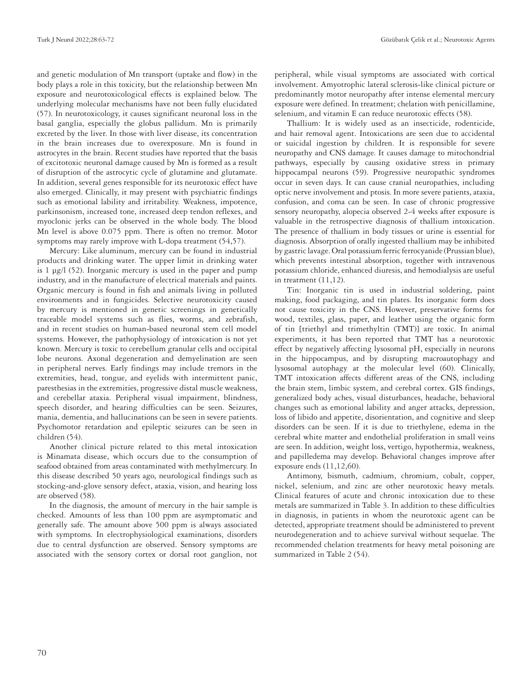Turk J Neurol 2022;28:63-72 Gözübatık Çelik et al.; Neurotoxic Agents

and genetic modulation of Mn transport (uptake and flow) in the body plays a role in this toxicity, but the relationship between Mn exposure and neurotoxicological effects is explained below. The underlying molecular mechanisms have not been fully elucidated (57). In neurotoxicology, it causes significant neuronal loss in the basal ganglia, especially the globus pallidum. Mn is primarily excreted by the liver. In those with liver disease, its concentration in the brain increases due to overexposure. Mn is found in astrocytes in the brain. Recent studies have reported that the basis of excitotoxic neuronal damage caused by Mn is formed as a result of disruption of the astrocytic cycle of glutamine and glutamate. In addition, several genes responsible for its neurotoxic effect have also emerged. Clinically, it may present with psychiatric findings such as emotional lability and irritability. Weakness, impotence, parkinsonism, increased tone, increased deep tendon reflexes, and myoclonic jerks can be observed in the whole body. The blood Mn level is above 0.075 ppm. There is often no tremor. Motor symptoms may rarely improve with L-dopa treatment (54,57).

Mercury: Like aluminum, mercury can be found in industrial products and drinking water. The upper limit in drinking water is 1 μg/l (52). Inorganic mercury is used in the paper and pump industry, and in the manufacture of electrical materials and paints. Organic mercury is found in fish and animals living in polluted environments and in fungicides. Selective neurotoxicity caused by mercury is mentioned in genetic screenings in genetically traceable model systems such as flies, worms, and zebrafish, and in recent studies on human-based neuronal stem cell model systems. However, the pathophysiology of intoxication is not yet known. Mercury is toxic to cerebellum granular cells and occipital lobe neurons. Axonal degeneration and demyelination are seen in peripheral nerves. Early findings may include tremors in the extremities, head, tongue, and eyelids with intermittent panic, paresthesias in the extremities, progressive distal muscle weakness, and cerebellar ataxia. Peripheral visual impairment, blindness, speech disorder, and hearing difficulties can be seen. Seizures, mania, dementia, and hallucinations can be seen in severe patients. Psychomotor retardation and epileptic seizures can be seen in children (54).

Another clinical picture related to this metal intoxication is Minamata disease, which occurs due to the consumption of seafood obtained from areas contaminated with methylmercury. In this disease described 50 years ago, neurological findings such as stocking-and-glove sensory defect, ataxia, vision, and hearing loss are observed (58).

In the diagnosis, the amount of mercury in the hair sample is checked. Amounts of less than 100 ppm are asymptomatic and generally safe. The amount above 500 ppm is always associated with symptoms. In electrophysiological examinations, disorders due to central dysfunction are observed. Sensory symptoms are associated with the sensory cortex or dorsal root ganglion, not peripheral, while visual symptoms are associated with cortical involvement. Amyotrophic lateral sclerosis-like clinical picture or predominantly motor neuropathy after intense elemental mercury exposure were defined. In treatment; chelation with penicillamine, selenium, and vitamin E can reduce neurotoxic effects (58).

Thallium: It is widely used as an insecticide, rodenticide, and hair removal agent. Intoxications are seen due to accidental or suicidal ingestion by children. It is responsible for severe neuropathy and CNS damage. It causes damage to mitochondrial pathways, especially by causing oxidative stress in primary hippocampal neurons (59). Progressive neuropathic syndromes occur in seven days. It can cause cranial neuropathies, including optic nerve involvement and ptosis. In more severe patients, ataxia, confusion, and coma can be seen. In case of chronic progressive sensory neuropathy, alopecia observed 2-4 weeks after exposure is valuable in the retrospective diagnosis of thallium intoxication. The presence of thallium in body tissues or urine is essential for diagnosis. Absorption of orally ingested thallium may be inhibited by gastric lavage. Oral potassium ferric ferrocyanide (Prussian blue), which prevents intestinal absorption, together with intravenous potassium chloride, enhanced diuresis, and hemodialysis are useful in treatment (11,12).

Tin: Inorganic tin is used in industrial soldering, paint making, food packaging, and tin plates. Its inorganic form does not cause toxicity in the CNS. However, preservative forms for wood, textiles, glass, paper, and leather using the organic form of tin [triethyl and trimethyltin (TMT)] are toxic. In animal experiments, it has been reported that TMT has a neurotoxic effect by negatively affecting lysosomal pH, especially in neurons in the hippocampus, and by disrupting macroautophagy and lysosomal autophagy at the molecular level (60). Clinically, TMT intoxication affects different areas of the CNS, including the brain stem, limbic system, and cerebral cortex. GIS findings, generalized body aches, visual disturbances, headache, behavioral changes such as emotional lability and anger attacks, depression, loss of libido and appetite, disorientation, and cognitive and sleep disorders can be seen. If it is due to triethylene, edema in the cerebral white matter and endothelial proliferation in small veins are seen. In addition, weight loss, vertigo, hypothermia, weakness, and papilledema may develop. Behavioral changes improve after exposure ends (11,12,60).

Antimony, bismuth, cadmium, chromium, cobalt, copper, nickel, selenium, and zinc are other neurotoxic heavy metals. Clinical features of acute and chronic intoxication due to these metals are summarized in Table 3. In addition to these difficulties in diagnosis, in patients in whom the neurotoxic agent can be detected, appropriate treatment should be administered to prevent neurodegeneration and to achieve survival without sequelae. The recommended chelation treatments for heavy metal poisoning are summarized in Table 2 (54).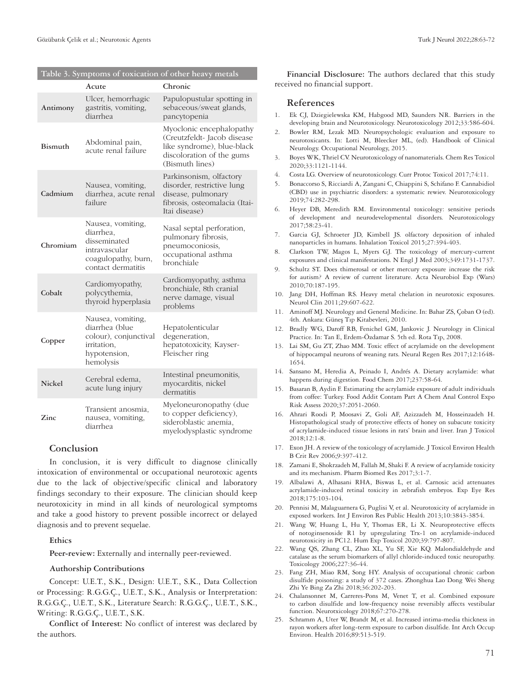**Table 3. Symptoms of toxication of other heavy metals**

| Table 5. Symptoms of toxication of other heavy metals |                                                                                                              |                                                                                                                                       |  |  |  |
|-------------------------------------------------------|--------------------------------------------------------------------------------------------------------------|---------------------------------------------------------------------------------------------------------------------------------------|--|--|--|
|                                                       | Acute                                                                                                        | Chronic                                                                                                                               |  |  |  |
| Antimony                                              | Ulcer, hemorrhagic<br>gastritis, vomiting,<br>diarrhea                                                       | Papulopustular spotting in<br>sebaceous/sweat glands,<br>pancytopenia                                                                 |  |  |  |
| <b>Bismuth</b>                                        | Abdominal pain,<br>acute renal failure                                                                       | Myoclonic encephalopathy<br>(Creutzfeldt-Jacob disease)<br>like syndrome), blue-black<br>discoloration of the gums<br>(Bismuth lines) |  |  |  |
| Cadmium                                               | Nausea, vomiting,<br>diarrhea, acute renal<br>failure                                                        | Parkinsonism, olfactory<br>disorder, restrictive lung<br>disease, pulmonary<br>fibrosis, osteomalacia (Itai-<br>Itai disease)         |  |  |  |
| Chromium                                              | Nausea, vomiting,<br>diarrhea,<br>disseminated<br>intravascular<br>coagulopathy, burn,<br>contact dermatitis | Nasal septal perforation,<br>pulmonary fibrosis,<br>pneumoconiosis,<br>occupational asthma<br>bronchiale                              |  |  |  |
| Cobalt                                                | Cardiomyopathy,<br>polycythemia,<br>thyroid hyperplasia                                                      | Cardiomyopathy, asthma<br>bronchiale, 8th cranial<br>nerve damage, visual<br>problems                                                 |  |  |  |
| Copper                                                | Nausea, vomiting,<br>diarrhea (blue<br>colour), conjunctival<br>irritation,<br>hypotension,<br>hemolysis     | Hepatolenticular<br>degeneration,<br>hepatotoxicity, Kayser-<br>Fleischer ring                                                        |  |  |  |
| <b>Nickel</b>                                         | Cerebral edema,<br>acute lung injury                                                                         | Intestinal pneumonitis,<br>myocarditis, nickel<br>dermatitis                                                                          |  |  |  |
| Zinc                                                  | Transient anosmia,<br>nausea, vomiting,<br>diarrhea                                                          | Myeloneuronopathy (due<br>to copper deficiency),<br>sideroblastic anemia,<br>myelodysplastic syndrome                                 |  |  |  |

## **Conclusion**

In conclusion, it is very difficult to diagnose clinically intoxication of environmental or occupational neurotoxic agents due to the lack of objective/specific clinical and laboratory findings secondary to their exposure. The clinician should keep neurotoxicity in mind in all kinds of neurological symptoms and take a good history to prevent possible incorrect or delayed diagnosis and to prevent sequelae.

## **Ethics**

**Peer-review:** Externally and internally peer-reviewed.

## **Authorship Contributions**

Concept: U.E.T., S.K., Design: U.E.T., S.K., Data Collection or Processing: R.G.G.Ç., U.E.T., S.K., Analysis or Interpretation: R.G.G.Ç., U.E.T., S.K., Literature Search: R.G.G.Ç., U.E.T., S.K., Writing: R.G.G.Ç., U.E.T., S.K.

**Conflict of Interest:** No conflict of interest was declared by the authors.

**Financial Disclosure:** The authors declared that this study received no financial support.

#### **References**

- 1. Ek CJ, Dziegielewska KM, Habgood MD, Saunders NR. Barriers in the developing brain and Neurotoxicology. Neurotoxicology 2012;33:586-604.
- 2. Bowler RM, Lezak MD. Neuropsychologic evaluation and exposure to neurotoxicants. In: Lotti M, Bleecker ML, (ed). Handbook of Clinical Neurology. Occupational Neurology, 2015.
- 3. Boyes WK, Thriel CV. Neurotoxicology of nanomaterials. Chem Res Toxicol 2020;33:1121-1144.
- 4. Costa LG. Overview of neurotoxicology. Curr Protoc Toxicol 2017;74:11.
- 5. Bonaccorso S, Ricciardi A, Zangani C, Chiappini S, Schifano F. Cannabidiol (CBD) use in psychiatric disorders: a systematic rewiev. Neurotoxicology 2019;74:282-298.
- 6. Heyer DB, Meredith RM. Environmental toxicology: sensitive periods of development and neurodevelopmental disorders. Neurotoxicology 2017;58:23-41.
- 7. Garcia GJ, Schroeter JD, Kimbell JS. olfactory deposition of inhaled nanoparticles in humans. Inhalation Toxicol 2015;27:394-403.
- 8. Clarkson TW, Magos L, Myers GJ. The toxicology of mercury-current exposures and clinical manifestations. N Engl J Med 2003;349:1731-1737.
- 9. Schultz ST. Does thimerosal or other mercury exposure increase the risk for autism? A review of current literature. Acta Neurobiol Exp (Wars) 2010;70:187-195.
- 10. Jang DH, Hoffman RS. Heavy metal chelation in neurotoxic exposures. Neurol Clin 2011;29:607-622.
- 11. Aminoff MJ. Neurology and General Medicine. In: Bahar ZS, Çoban O (ed). 4th. Ankara: Güneş Tıp Kitabevleri, 2010.
- 12. Bradly WG, Daroff RB, Fenichel GM, Jankovic J. Neurology in Clinical Practice. In: Tan E, Erdem-Özdamar S. 5th ed. Rota Tıp, 2008.
- 13. Lai SM, Gu ZT, Zhao MM. Toxic effect of acrylamide on the development of hippocampal neurons of weaning rats. Neural Regen Res 2017;12:1648- 1654.
- 14. Sansano M, Heredia A, Peinado I, Andrés A. Dietary acrylamide: what happens during digestion. Food Chem 2017;237:58-64.
- 15. Basaran B, Aydin F. Estimating the acrylamide exposure of adult individuals from coffee: Turkey. Food Addit Contam Part A Chem Anal Control Expo Risk Assess 2020;37:2051-2060.
- 16. Ahrari Roodi P, Moosavi Z, Goli AF, Azizzadeh M, Hosseinzadeh H. Histopathological study of protective effects of honey on subacute toxicity of acrylamide-induced tissue lesions in rats' brain and liver. Iran J Toxicol 2018;12:1-8.
- 17. Exon JH. A review of the toxicology of acrylamide. J Toxicol Environ Health B Crit Rev 2006;9:397-412.
- 18. Zamani E, Shokrzadeh M, Fallah M, Shaki F. A review of acrylamide toxicity and its mechanism. Pharm Biomed Res 2017;3:1-7.
- 19. Albalawi A, Alhasani RHA, Biswas L, et al. Carnosic acid attenuates acrylamide-induced retinal toxicity in zebrafish embryos. Exp Eye Res 2018;175:103-104.
- 20. Pennisi M, Malaguarnera G, Puglisi V, et al. Neurotoxicity of acrylamide in exposed workers. Int J Environ Res Public Health 2013;10:3843-3854.
- 21. Wang W, Huang L, Hu Y, Thomas ER, Li X. Neuroprotective effects of notoginsenoside R1 by upregulating Trx-1 on acrylamide-induced neurotoxicity in PC12. Hum Exp Toxicol 2020;39:797-807.
- 22. Wang QS, Zhang CL, Zhao XL, Yu SF, Xie KQ. Malondialdehyde and catalase as the serum biomarkers of allyl chloride-induced toxic neuropathy. Toxicology 2006;227:36-44.
- 23. Fang ZH, Miao RM, Song HY. Analysis of occupational chronic carbon disulfide poisoning: a study of 372 cases. Zhonghua Lao Dong Wei Sheng Zhi Ye Bing Za Zhi 2018;36:202-203.
- 24. Chalansonnet M, Carreres-Pons M, Venet T, et al. Combined exposure to carbon disulfide and low-frequency noise reversibly affects vestibular function. Neurotxicology 2018;67:270-278.
- 25. Schramm A, Uter W, Brandt M, et al. Increased intima-media thickness in rayon workers after long-term exposure to carbon disulfide. Int Arch Occup Environ. Health 2016;89:513-519.